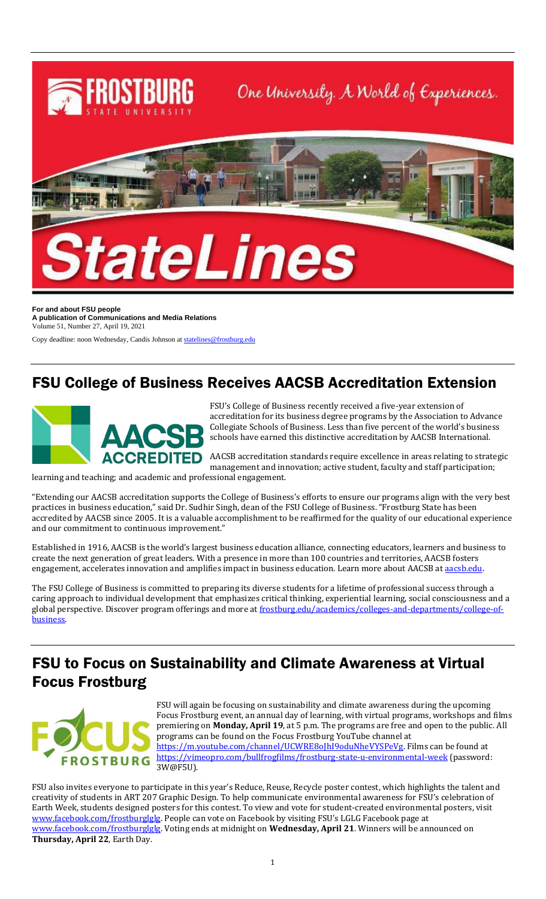

**For and about FSU people A publication of Communications and Media Relations** Volume 51, Number 27, April 19, 2021

Copy deadline: noon Wednesday, Candis Johnson a[t statelines@frostburg.edu](mailto:statelines@frostburg.edu)

## FSU College of Business Receives AACSB Accreditation Extension



FSU's College of Business recently received a five-year extension of accreditation for its business degree programs by the Association to Advance Collegiate Schools of Business. Less than five percent of the world's business schools have earned this distinctive accreditation by AACSB International.

AACSB accreditation standards require excellence in areas relating to strategic management and innovation; active student, faculty and staff participation;

learning and teaching; and academic and professional engagement.

"Extending our AACSB accreditation supports the College of Business's efforts to ensure our programs align with the very best practices in business education," said Dr. Sudhir Singh, dean of the FSU College of Business. "Frostburg State has been accredited by AACSB since 2005. It is a valuable accomplishment to be reaffirmed for the quality of our educational experience and our commitment to continuous improvement."

Established in 1916, AACSB is the world's largest business education alliance, connecting educators, learners and business to create the next generation of great leaders. With a presence in more than 100 countries and territories, AACSB fosters engagement, accelerates innovation and amplifies impact in business education. Learn more about AACSB at [aacsb.edu.](https://aacsb.edu/)

The FSU College of Business is committed to preparing its diverse students for a lifetime of professional success through a caring approach to individual development that emphasizes critical thinking, experiential learning, social consciousness and a global perspective. Discover program offerings and more at [frostburg.edu/academics/colleges-and-departments/college-of](https://www.frostburg.edu/academics/colleges-and-departments/college-of-business/index.php)[business.](https://www.frostburg.edu/academics/colleges-and-departments/college-of-business/index.php)

## FSU to Focus on Sustainability and Climate Awareness at Virtual Focus Frostburg



FSU will again be focusing on sustainability and climate awareness during the upcoming Focus Frostburg event, an annual day of learning, with virtual programs, workshops and films premiering on **Monday, April 19**, at 5 p.m. The programs are free and open to the public. All programs can be found on the Focus Frostburg YouTube channel at [https://m.youtube.com/channel/UCWRE8oJhI9oduNheVYSPeVg.](https://m.youtube.com/channel/UCWRE8oJhI9oduNheVYSPeVg) Films can be found at <https://vimeopro.com/bullfrogfilms/frostburg-state-u-environmental-week> (password: 3W@F5U).

FSU also invites everyone to participate in this year's Reduce, Reuse, Recycle poster contest, which highlights the talent and creativity of students in ART 207 Graphic Design. To help communicate environmental awareness for FSU's celebration of Earth Week, students designed posters for this contest. To view and vote for student-created environmental posters, visit [www.facebook.com/frostburglglg](http://www.facebook.com/frostburglglg). People can vote on Facebook by visiting FSU's LGLG Facebook page at [www.facebook.com/frostburglglg.](http://www.facebook.com/frostburglglg) Voting ends at midnight on **Wednesday, April 21**. Winners will be announced on **Thursday, April 22**, Earth Day.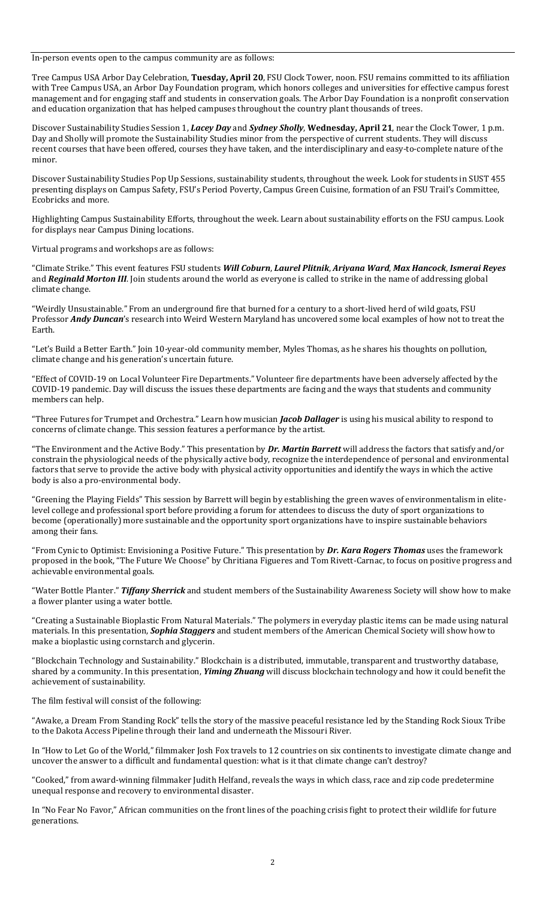In-person events open to the campus community are as follows:

Tree Campus USA Arbor Day Celebration, **Tuesday, April 20**, FSU Clock Tower, noon. FSU remains committed to its affiliation with Tree Campus USA, an Arbor Day Foundation program, which honors colleges and universities for effective campus forest management and for engaging staff and students in conservation goals. The Arbor Day Foundation is a nonprofit conservation and education organization that has helped campuses throughout the country plant thousands of trees.

Discover Sustainability Studies Session 1, *Lacey Day* and *Sydney Sholly*, **Wednesday, April 21**, near the Clock Tower, 1 p.m. Day and Sholly will promote the Sustainability Studies minor from the perspective of current students. They will discuss recent courses that have been offered, courses they have taken, and the interdisciplinary and easy-to-complete nature of the minor.

Discover Sustainability Studies Pop Up Sessions, sustainability students, throughout the week. Look for students in SUST 455 presenting displays on Campus Safety, FSU's Period Poverty, Campus Green Cuisine, formation of an FSU Trail's Committee, Ecobricks and more.

Highlighting Campus Sustainability Efforts, throughout the week. Learn about sustainability efforts on the FSU campus. Look for displays near Campus Dining locations.

Virtual programs and workshops are as follows:

"Climate Strike." This event features FSU students *Will Coburn*, *Laurel Plitnik*, *Ariyana Ward*, *Max Hancock*, *Ismerai Reyes* and *Reginald Morton III*. Join students around the world as everyone is called to strike in the name of addressing global climate change.

"Weirdly Unsustainable." From an underground fire that burned for a century to a short-lived herd of wild goats, FSU Professor *Andy Duncan*'s research into Weird Western Maryland has uncovered some local examples of how not to treat the Earth.

"Let's Build a Better Earth." Join 10-year-old community member, Myles Thomas, as he shares his thoughts on pollution, climate change and his generation's uncertain future.

"Effect of COVID-19 on Local Volunteer Fire Departments." Volunteer fire departments have been adversely affected by the COVID-19 pandemic. Day will discuss the issues these departments are facing and the ways that students and community members can help.

"Three Futures for Trumpet and Orchestra." Learn how musician *Jacob Dallager* is using his musical ability to respond to concerns of climate change. This session features a performance by the artist.

"The Environment and the Active Body." This presentation by *Dr. Martin Barrett* will address the factors that satisfy and/or constrain the physiological needs of the physically active body, recognize the interdependence of personal and environmental factors that serve to provide the active body with physical activity opportunities and identify the ways in which the active body is also a pro-environmental body.

"Greening the Playing Fields" This session by Barrett will begin by establishing the green waves of environmentalism in elitelevel college and professional sport before providing a forum for attendees to discuss the duty of sport organizations to become (operationally) more sustainable and the opportunity sport organizations have to inspire sustainable behaviors among their fans.

"From Cynic to Optimist: Envisioning a Positive Future." This presentation by *Dr. Kara Rogers Thomas* uses the framework proposed in the book, "The Future We Choose" by Chritiana Figueres and Tom Rivett-Carnac, to focus on positive progress and achievable environmental goals.

"Water Bottle Planter." *Tiffany Sherrick* and student members of the Sustainability Awareness Society will show how to make a flower planter using a water bottle.

"Creating a Sustainable Bioplastic From Natural Materials." The polymers in everyday plastic items can be made using natural materials. In this presentation, *Sophia Staggers* and student members of the American Chemical Society will show how to make a bioplastic using cornstarch and glycerin.

"Blockchain Technology and Sustainability." Blockchain is a distributed, immutable, transparent and trustworthy database, shared by a community. In this presentation, *Yiming Zhuang* will discuss blockchain technology and how it could benefit the achievement of sustainability.

The film festival will consist of the following:

"Awake, a Dream From Standing Rock" tells the story of the massive peaceful resistance led by the Standing Rock Sioux Tribe to the Dakota Access Pipeline through their land and underneath the Missouri River.

In "How to Let Go of the World," filmmaker Josh Fox travels to 12 countries on six continents to investigate climate change and uncover the answer to a difficult and fundamental question: what is it that climate change can't destroy?

"Cooked," from award-winning filmmaker Judith Helfand, reveals the ways in which class, race and zip code predetermine unequal response and recovery to environmental disaster.

In "No Fear No Favor," African communities on the front lines of the poaching crisis fight to protect their wildlife for future generations.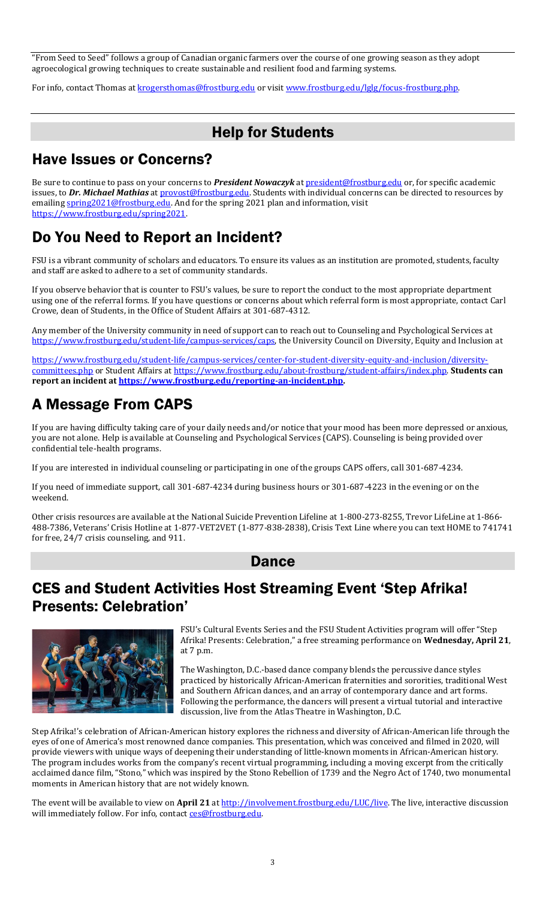"From Seed to Seed" follows a group of Canadian organic farmers over the course of one growing season as they adopt agroecological growing techniques to create sustainable and resilient food and farming systems.

For info, contact Thomas a[t krogersthomas@frostburg.edu](mailto:krogersthomas@frostburg.edu) or visit www.frostburg.edu/lglg/focus-frostburg.php.

# Help for Students

# Have Issues or Concerns?

Be sure to continue to pass on your concerns to *President Nowaczyk* at [president@frostburg.edu](mailto:president@frostburg.edu) or, for specific academic issues, to Dr. Michael Mathias a[t provost@frostburg.edu.](mailto:provost@frostburg.edu) Students with individual concerns can be directed to resources by emailing [spring2021@frostburg.edu.](mailto:spring2021@frostburg.edu) And for the spring 2021 plan and information, visit [https://www.frostburg.edu/spring2021.](https://www.frostburg.edu/spring2021) 

# Do You Need to Report an Incident?

FSU is a vibrant community of scholars and educators. To ensure its values as an institution are promoted, students, faculty and staff are asked to adhere to a set of community standards.

If you observe behavior that is counter to FSU's values, be sure to report the conduct to the most appropriate department using one of the referral forms. If you have questions or concerns about which referral form is most appropriate, contact Carl Crowe, dean of Students, in the Office of Student Affairs at 301-687-4312.

Any member of the University community in need of support can to reach out to Counseling and Psychological Services at [https://www.frostburg.edu/student-life/campus-services/caps,](https://www.frostburg.edu/student-life/campus-services/caps) the University Council on Diversity, Equity and Inclusion at

[https://www.frostburg.edu/student-life/campus-services/center-for-student-diversity-equity-and-inclusion/diversity](https://www.frostburg.edu/student-life/campus-services/center-for-student-diversity-equity-and-inclusion/diversity-committees.php)[committees.php](https://www.frostburg.edu/student-life/campus-services/center-for-student-diversity-equity-and-inclusion/diversity-committees.php) or Student Affairs at [https://www.frostburg.edu/about-frostburg/student-affairs/index.php.](https://www.frostburg.edu/about-frostburg/student-affairs/index.php) **Students can report an incident at [https://www.frostburg.edu/reporting-an-incident.php.](https://www.frostburg.edu/reporting-an-incident.php)** 

# A Message From CAPS

If you are having difficulty taking care of your daily needs and/or notice that your mood has been more depressed or anxious, you are not alone. Help is available at Counseling and Psychological Services (CAPS). Counseling is being provided over confidential tele-health programs.

If you are interested in individual counseling or participating in one of the groups CAPS offers, call 301-687-4234.

If you need of immediate support, call 301-687-4234 during business hours or 301-687-4223 in the evening or on the weekend.

Other crisis resources are available at the National Suicide Prevention Lifeline at 1-800-273-8255, Trevor LifeLine at 1-866- 488-7386, Veterans' Crisis Hotline at 1-877-VET2VET (1-877-838-2838), Crisis Text Line where you can text HOME to 741741 for free, 24/7 crisis counseling, and 911.

#### Dance

# CES and Student Activities Host Streaming Event 'Step Afrika! Presents: Celebration'



FSU's Cultural Events Series and the FSU Student Activities program will offer "Step Afrika! Presents: Celebration," a free streaming performance on **Wednesday, April 21**, at 7 p.m.

The Washington, D.C.-based dance company blends the percussive dance styles practiced by historically African-American fraternities and sororities, traditional West and Southern African dances, and an array of contemporary dance and art forms. Following the performance, the dancers will present a virtual tutorial and interactive discussion, live from the Atlas Theatre in Washington, D.C.

Step Afrika!'s celebration of African-American history explores the richness and diversity of African-American life through the eyes of one of America's most renowned dance companies. This presentation, which was conceived and filmed in 2020, will provide viewers with unique ways of deepening their understanding of little-known moments in African-American history. The program includes works from the company's recent virtual programming, including a moving excerpt from the critically acclaimed dance film, "Stono," which was inspired by the Stono Rebellion of 1739 and the Negro Act of 1740, two monumental moments in American history that are not widely known.

The event will be available to view on April 21 a[t http://involvement.frostburg.edu/LUC/live.](http://involvement.frostburg.edu/LUC/live) The live, interactive discussion will immediately follow. For info, contac[t ces@frostburg.edu.](mailto:ces@frostburg.edu)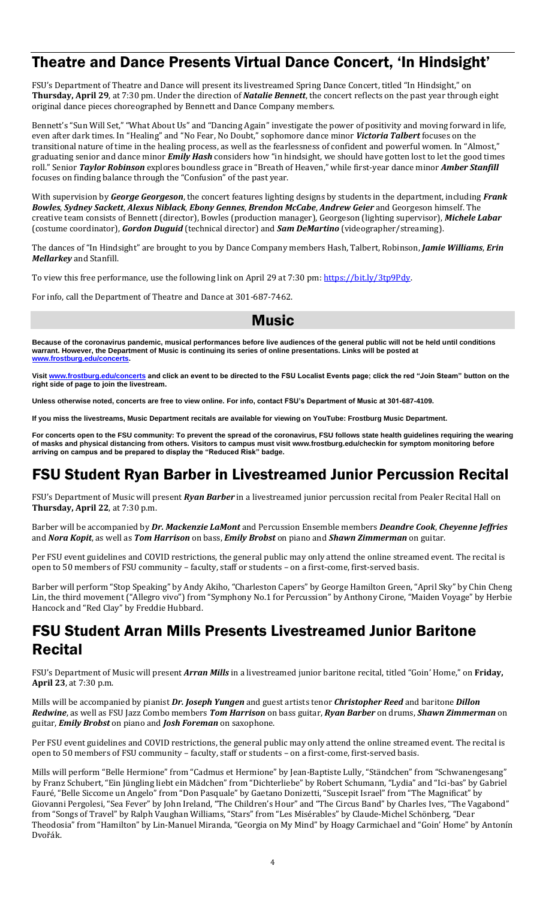#### Theatre and Dance Presents Virtual Dance Concert, 'In Hindsight'

FSU's Department of Theatre and Dance will present its livestreamed Spring Dance Concert, titled "In Hindsight," on **Thursday, April 29**, at 7:30 pm. Under the direction of *Natalie Bennett*, the concert reflects on the past year through eight original dance pieces choreographed by Bennett and Dance Company members.

Bennett's "Sun Will Set," "What About Us" and "Dancing Again" investigate the power of positivity and moving forward in life, even after dark times. In "Healing" and "No Fear, No Doubt," sophomore dance minor *Victoria Talbert* focuses on the transitional nature of time in the healing process, as well as the fearlessness of confident and powerful women. In "Almost," graduating senior and dance minor *Emily Hash* considers how "in hindsight, we should have gotten lost to let the good times roll." Senior *Taylor Robinson* explores boundless grace in "Breath of Heaven," while first-year dance minor *Amber Stanfill* focuses on finding balance through the "Confusion" of the past year.

With supervision by *George Georgeson*, the concert features lighting designs by students in the department, including *Frank Bowles*, *Sydney Sackett*, *Alexus Niblack*, *Ebony Gennes*, *Brendon McCabe*, *Andrew Geier* and Georgeson himself. The creative team consists of Bennett (director), Bowles (production manager), Georgeson (lighting supervisor), *Michele Labar* (costume coordinator), *Gordon Duguid* (technical director) and *Sam DeMartino* (videographer/streaming).

The dances of "In Hindsight" are brought to you by Dance Company members Hash, Talbert, Robinson, *Jamie Williams*, *Erin Mellarkey* and Stanfill.

To view this free performance, use the following link on April 29 at 7:30 pm: https://bit.ly/3tp9Pdy.

For info, call the Department of Theatre and Dance at 301-687-7462.

#### Music

**Because of the coronavirus pandemic, musical performances before live audiences of the general public will not be held until conditions warrant. However, the Department of Music is continuing its series of online presentations. Links will be posted at [www.frostburg.edu/concerts.](http://www.frostburg.edu/concerts)**

**Visit [www.frostburg.edu/concerts](http://www.frostburg.edu/concerts) and click an event to be directed to the FSU Localist Events page; click the red "Join Steam" button on the right side of page to join the livestream.**

**Unless otherwise noted, concerts are free to view online. For info, contact FSU's Department of Music at 301-687-4109.**

**If you miss the livestreams, Music Department recitals are available for viewing on YouTube: Frostburg Music Department.**

**For concerts open to the FSU community: To prevent the spread of the coronavirus, FSU follows state health guidelines requiring the wearing of masks and physical distancing from others. Visitors to campus must visit www.frostburg.edu/checkin for symptom monitoring before arriving on campus and be prepared to display the "Reduced Risk" badge.**

#### FSU Student Ryan Barber in Livestreamed Junior Percussion Recital

FSU's Department of Music will present *Ryan Barber* in a livestreamed junior percussion recital from Pealer Recital Hall on **Thursday, April 22**, at 7:30 p.m.

Barber will be accompanied by *Dr. Mackenzie LaMont* and Percussion Ensemble members *Deandre Cook*, *Cheyenne Jeffries* and *Nora Kopit*, as well as *Tom Harrison* on bass, *Emily Brobst* on piano and *Shawn Zimmerman* on guitar.

Per FSU event guidelines and COVID restrictions, the general public may only attend the online streamed event. The recital is open to 50 members of FSU community – faculty, staff or students – on a first-come, first-served basis.

Barber will perform "Stop Speaking" by Andy Akiho, "Charleston Capers" by George Hamilton Green, "April Sky" by Chin Cheng Lin, the third movement ("Allegro vivo") from "Symphony No.1 for Percussion" by Anthony Cirone, "Maiden Voyage" by Herbie Hancock and "Red Clay" by Freddie Hubbard.

#### FSU Student Arran Mills Presents Livestreamed Junior Baritone Recital

FSU's Department of Music will present *Arran Mills* in a livestreamed junior baritone recital, titled "Goin' Home," on **Friday, April 23**, at 7:30 p.m.

Mills will be accompanied by pianist *Dr. Joseph Yungen* and guest artists tenor *Christopher Reed* and baritone *Dillon Redwine*, as well as FSU Jazz Combo members *Tom Harrison* on bass guitar, *Ryan Barber* on drums, *Shawn Zimmerman* on guitar, *Emily Brobst* on piano and *Josh Foreman* on saxophone.

Per FSU event guidelines and COVID restrictions, the general public may only attend the online streamed event. The recital is open to 50 members of FSU community – faculty, staff or students – on a first-come, first-served basis.

Mills will perform "Belle Hermione" from "Cadmus et Hermione" by Jean-Baptiste Lully, "Ständchen" from "Schwanengesang" by Franz Schubert, "Ein Jüngling liebt ein Mädchen" from "Dichterliebe" by Robert Schumann, "Lydia" and "Ici-bas" by Gabriel Fauré, "Belle Siccome un Angelo" from "Don Pasquale" by Gaetano Donizetti, "Suscepit Israel" from "The Magnificat" by Giovanni Pergolesi, "Sea Fever" by John Ireland, "The Children's Hour" and "The Circus Band" by Charles Ives, "The Vagabond" from "Songs of Travel" by Ralph Vaughan Williams, "Stars" from "Les Misérables" by Claude-Michel Schönberg, "Dear Theodosia" from "Hamilton" by Lin-Manuel Miranda, "Georgia on My Mind" by Hoagy Carmichael and "Goin' Home" by Antonín Dvořák.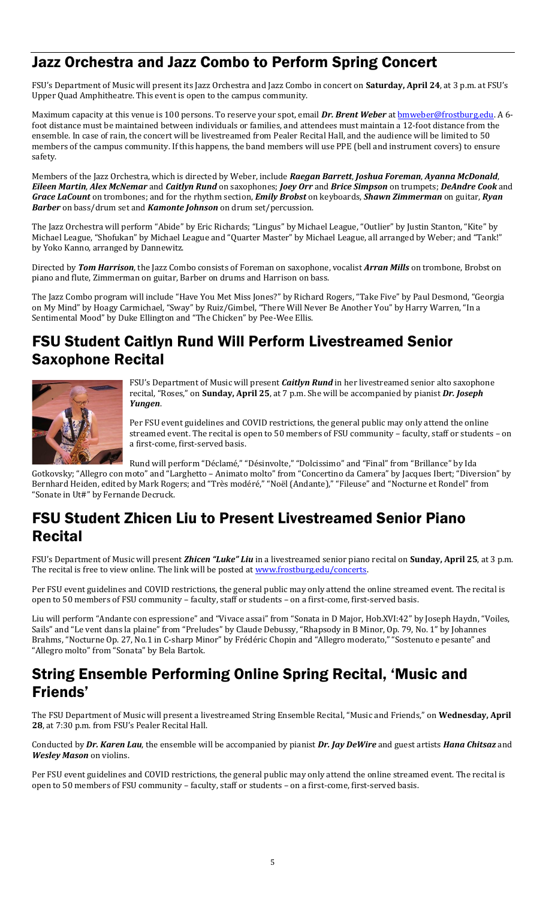### Jazz Orchestra and Jazz Combo to Perform Spring Concert

FSU's Department of Music will present its Jazz Orchestra and Jazz Combo in concert on **Saturday, April 24**, at 3 p.m. at FSU's Upper Quad Amphitheatre. This event is open to the campus community.

Maximum capacity at this venue is 100 persons. To reserve your spot, email *Dr. Brent Weber* at **bmweber@frostburg.edu**. A 6foot distance must be maintained between individuals or families, and attendees must maintain a 12-foot distance from the ensemble. In case of rain, the concert will be livestreamed from Pealer Recital Hall, and the audience will be limited to 50 members of the campus community. If this happens, the band members will use PPE (bell and instrument covers) to ensure safety.

Members of the Jazz Orchestra, which is directed by Weber, include *Raegan Barrett*, *Joshua Foreman*, *Ayanna McDonald*, *Eileen Martin*, *Alex McNemar* and *Caitlyn Rund* on saxophones; *Joey Orr* and *Brice Simpson* on trumpets; *DeAndre Cook* and *Grace LaCount* on trombones; and for the rhythm section, *Emily Brobst* on keyboards, *Shawn Zimmerman* on guitar, *Ryan Barber* on bass/drum set and *Kamonte Johnson* on drum set/percussion.

The Jazz Orchestra will perform "Abide" by Eric Richards; "Lingus" by Michael League, "Outlier" by Justin Stanton, "Kite" by Michael League, "Shofukan" by Michael League and "Quarter Master" by Michael League, all arranged by Weber; and "Tank!" by Yoko Kanno, arranged by Dannewitz.

Directed by *Tom Harrison*, the Jazz Combo consists of Foreman on saxophone, vocalist *Arran Mills* on trombone, Brobst on piano and flute, Zimmerman on guitar, Barber on drums and Harrison on bass.

The Jazz Combo program will include "Have You Met Miss Jones?" by Richard Rogers, "Take Five" by Paul Desmond, "Georgia on My Mind" by Hoagy Carmichael, "Sway" by Ruiz/Gimbel, "There Will Never Be Another You" by Harry Warren, "In a Sentimental Mood" by Duke Ellington and "The Chicken" by Pee-Wee Ellis.

#### FSU Student Caitlyn Rund Will Perform Livestreamed Senior Saxophone Recital



FSU's Department of Music will present *Caitlyn Rund* in her livestreamed senior alto saxophone recital, "Roses," on **Sunday, April 25**, at 7 p.m. She will be accompanied by pianist *Dr. Joseph Yungen*.

Per FSU event guidelines and COVID restrictions, the general public may only attend the online streamed event. The recital is open to 50 members of FSU community – faculty, staff or students – on a first-come, first-served basis.

Rund will perform "Déclamé," "Désinvolte," "Dolcissimo" and "Final" from "Brillance" by Ida

Gotkovsky; "Allegro con moto" and "Larghetto – Animato molto" from "Concertino da Camera" by Jacques Ibert; "Diversion" by Bernhard Heiden, edited by Mark Rogers; and "Très modéré," "Noël (Andante)," "Fileuse" and "Nocturne et Rondel" from "Sonate in Ut#" by Fernande Decruck.

#### FSU Student Zhicen Liu to Present Livestreamed Senior Piano **Recital**

FSU's Department of Music will present *Zhicen "Luke" Liu* in a livestreamed senior piano recital on **Sunday, April 25**, at 3 p.m. The recital is free to view online. The link will be posted a[t www.frostburg.edu/concerts.](http://www.frostburg.edu/concerts)

Per FSU event guidelines and COVID restrictions, the general public may only attend the online streamed event. The recital is open to 50 members of FSU community – faculty, staff or students – on a first-come, first-served basis.

Liu will perform "Andante con espressione" and "Vivace assai" from "Sonata in D Major, Hob.XVI:42" by Joseph Haydn, "Voiles, Sails" and "Le vent dans la plaine" from "Preludes" by Claude Debussy, "Rhapsody in B Minor, Op. 79, No. 1" by Johannes Brahms, "Nocturne Op. 27, No.1 in C-sharp Minor" by Frédéric Chopin and "Allegro moderato," "Sostenuto e pesante" and "Allegro molto" from "Sonata" by Bela Bartok.

### String Ensemble Performing Online Spring Recital, 'Music and Friends'

The FSU Department of Music will present a livestreamed String Ensemble Recital, "Music and Friends," on **Wednesday, April 28**, at 7:30 p.m. from FSU's Pealer Recital Hall.

Conducted by *Dr. Karen Lau*, the ensemble will be accompanied by pianist *Dr. Jay DeWire* and guest artists *Hana Chitsaz* and *Wesley Mason* on violins.

Per FSU event guidelines and COVID restrictions, the general public may only attend the online streamed event. The recital is open to 50 members of FSU community – faculty, staff or students – on a first-come, first-served basis.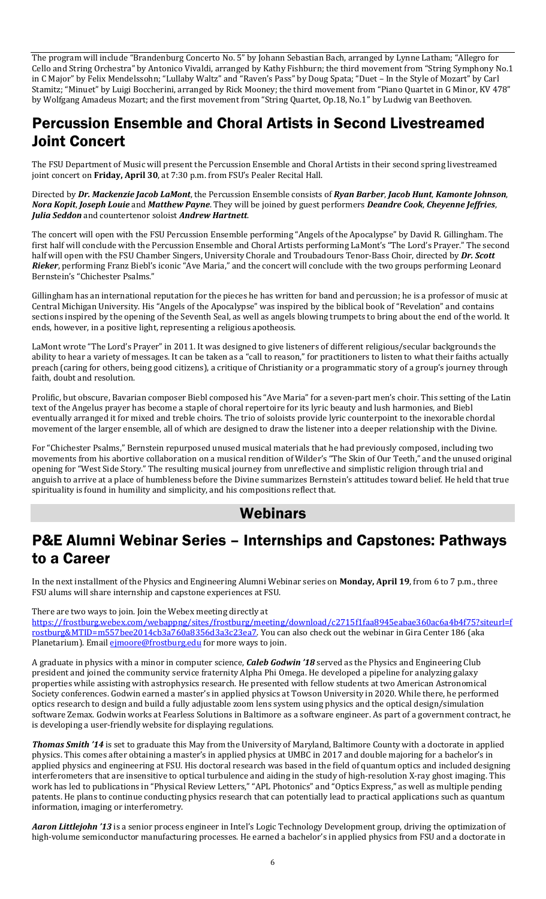The program will include "Brandenburg Concerto No. 5" by Johann Sebastian Bach, arranged by Lynne Latham; "Allegro for Cello and String Orchestra" by Antonico Vivaldi, arranged by Kathy Fishburn; the third movement from "String Symphony No.1 in C Major" by Felix Mendelssohn; "Lullaby Waltz" and "Raven's Pass" by Doug Spata; "Duet – In the Style of Mozart" by Carl Stamitz; "Minuet" by Luigi Boccherini, arranged by Rick Mooney; the third movement from "Piano Quartet in G Minor, KV 478" by Wolfgang Amadeus Mozart; and the first movement from "String Quartet, Op.18, No.1" by Ludwig van Beethoven.

## Percussion Ensemble and Choral Artists in Second Livestreamed Joint Concert

The FSU Department of Music will present the Percussion Ensemble and Choral Artists in their second spring livestreamed joint concert on **Friday, April 30**, at 7:30 p.m. from FSU's Pealer Recital Hall.

Directed by *Dr. Mackenzie Jacob LaMont*, the Percussion Ensemble consists of *Ryan Barber*, *Jacob Hunt*, *Kamonte Johnson*, *Nora Kopit*, *Joseph Louie* and *Matthew Payne*. They will be joined by guest performers *Deandre Cook*, *Cheyenne Jeffries*, *Julia Seddon* and countertenor soloist *Andrew Hartnett*.

The concert will open with the FSU Percussion Ensemble performing "Angels of the Apocalypse" by David R. Gillingham. The first half will conclude with the Percussion Ensemble and Choral Artists performing LaMont's "The Lord's Prayer." The second half will open with the FSU Chamber Singers, University Chorale and Troubadours Tenor-Bass Choir, directed by *Dr. Scott Rieker*, performing Franz Biebl's iconic "Ave Maria," and the concert will conclude with the two groups performing Leonard Bernstein's "Chichester Psalms."

Gillingham has an international reputation for the pieces he has written for band and percussion; he is a professor of music at Central Michigan University. His "Angels of the Apocalypse" was inspired by the biblical book of "Revelation" and contains sections inspired by the opening of the Seventh Seal, as well as angels blowing trumpets to bring about the end of the world. It ends, however, in a positive light, representing a religious apotheosis.

LaMont wrote "The Lord's Prayer" in 2011. It was designed to give listeners of different religious/secular backgrounds the ability to hear a variety of messages. It can be taken as a "call to reason," for practitioners to listen to what their faiths actually preach (caring for others, being good citizens), a critique of Christianity or a programmatic story of a group's journey through faith, doubt and resolution.

Prolific, but obscure, Bavarian composer Biebl composed his "Ave Maria" for a seven-part men's choir. This setting of the Latin text of the Angelus prayer has become a staple of choral repertoire for its lyric beauty and lush harmonies, and Biebl eventually arranged it for mixed and treble choirs. The trio of soloists provide lyric counterpoint to the inexorable chordal movement of the larger ensemble, all of which are designed to draw the listener into a deeper relationship with the Divine.

For "Chichester Psalms," Bernstein repurposed unused musical materials that he had previously composed, including two movements from his abortive collaboration on a musical rendition of Wilder's "The Skin of Our Teeth," and the unused original opening for "West Side Story." The resulting musical journey from unreflective and simplistic religion through trial and anguish to arrive at a place of humbleness before the Divine summarizes Bernstein's attitudes toward belief. He held that true spirituality is found in humility and simplicity, and his compositions reflect that.

#### Webinars

### P&E Alumni Webinar Series – Internships and Capstones: Pathways to a Career

In the next installment of the Physics and Engineering Alumni Webinar series on **Monday, April 19**, from 6 to 7 p.m., three FSU alums will share internship and capstone experiences at FSU.

There are two ways to join. Join the Webex meeting directly at

[https://frostburg.webex.com/webappng/sites/frostburg/meeting/download/c2715f1faa8945eabae360ac6a4b4f75?siteurl=f](https://frostburg.webex.com/webappng/sites/frostburg/meeting/download/c2715f1faa8945eabae360ac6a4b4f75?siteurl=frostburg&MTID=m557bee2014cb3a760a8356d3a3c23ea7) [rostburg&MTID=m557bee2014cb3a760a8356d3a3c23ea7.](https://frostburg.webex.com/webappng/sites/frostburg/meeting/download/c2715f1faa8945eabae360ac6a4b4f75?siteurl=frostburg&MTID=m557bee2014cb3a760a8356d3a3c23ea7) You can also check out the webinar in Gira Center 186 (aka Planetarium). Email *eimoore@frostburg.edu* for more ways to join.

A graduate in physics with a minor in computer science, *Caleb Godwin '18* served as the Physics and Engineering Club president and joined the community service fraternity Alpha Phi Omega. He developed a pipeline for analyzing galaxy properties while assisting with astrophysics research. He presented with fellow students at two American Astronomical Society conferences. Godwin earned a master's in applied physics at Towson University in 2020. While there, he performed optics research to design and build a fully adjustable zoom lens system using physics and the optical design/simulation software Zemax. Godwin works at Fearless Solutions in Baltimore as a software engineer. As part of a government contract, he is developing a user-friendly website for displaying regulations.

*Thomas Smith '14* is set to graduate this May from the University of Maryland, Baltimore County with a doctorate in applied physics. This comes after obtaining a master's in applied physics at UMBC in 2017 and double majoring for a bachelor's in applied physics and engineering at FSU. His doctoral research was based in the field of quantum optics and included designing interferometers that are insensitive to optical turbulence and aiding in the study of high-resolution X-ray ghost imaging. This work has led to publications in "Physical Review Letters," "APL Photonics" and "Optics Express," as well as multiple pending patents. He plans to continue conducting physics research that can potentially lead to practical applications such as quantum information, imaging or interferometry.

*Aaron Littlejohn '13* is a senior process engineer in Intel's Logic Technology Development group, driving the optimization of high-volume semiconductor manufacturing processes. He earned a bachelor's in applied physics from FSU and a doctorate in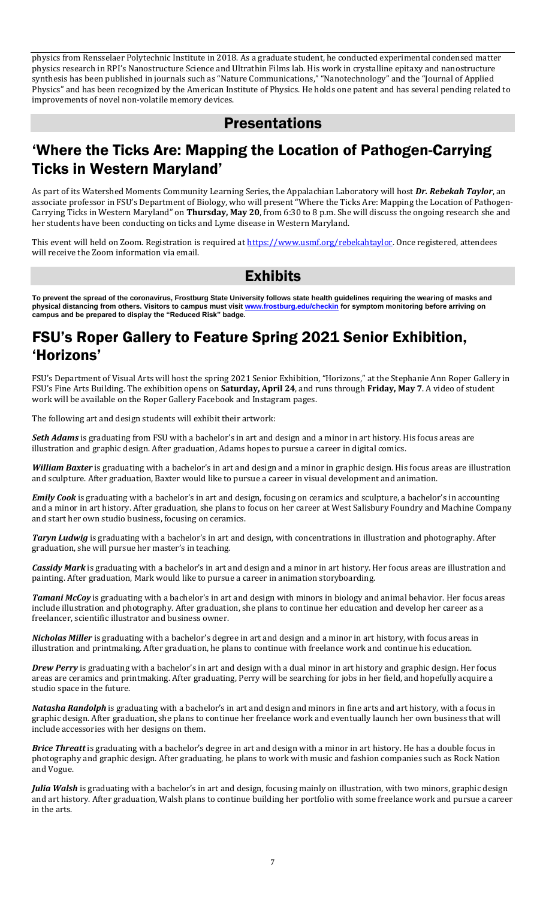physics from Rensselaer Polytechnic Institute in 2018. As a graduate student, he conducted experimental condensed matter physics research in RPI's Nanostructure Science and Ultrathin Films lab. His work in crystalline epitaxy and nanostructure synthesis has been published in journals such as "Nature Communications," "Nanotechnology" and the "Journal of Applied Physics" and has been recognized by the American Institute of Physics. He holds one patent and has several pending related to improvements of novel non-volatile memory devices.

#### Presentations

### 'Where the Ticks Are: Mapping the Location of Pathogen-Carrying Ticks in Western Maryland'

As part of its Watershed Moments Community Learning Series, the Appalachian Laboratory will host *Dr. Rebekah Taylor*, an associate professor in FSU's Department of Biology, who will present "Where the Ticks Are: Mapping the Location of Pathogen-Carrying Ticks in Western Maryland" on **Thursday, May 20**, from 6:30 to 8 p.m. She will discuss the ongoing research she and her students have been conducting on ticks and Lyme disease in Western Maryland.

This event will held on Zoom. Registration is required a[t https://www.usmf.org/rebekahtaylor.](https://www.usmf.org/rebekahtaylor) Once registered, attendees will receive the Zoom information via email.

#### Exhibits

**To prevent the spread of the coronavirus, Frostburg State University follows state health guidelines requiring the wearing of masks and physical distancing from others. Visitors to campus must visi[t www.frostburg.edu/checkin](http://www.frostburg.edu/checkin) for symptom monitoring before arriving on campus and be prepared to display the "Reduced Risk" badge.**

### FSU's Roper Gallery to Feature Spring 2021 Senior Exhibition, 'Horizons'

FSU's Department of Visual Arts will host the spring 2021 Senior Exhibition, "Horizons," at the Stephanie Ann Roper Gallery in FSU's Fine Arts Building. The exhibition opens on **Saturday, April 24**, and runs through **Friday, May 7**. A video of student work will be available on the Roper Gallery Facebook and Instagram pages.

The following art and design students will exhibit their artwork:

*Seth Adams* is graduating from FSU with a bachelor's in art and design and a minor in art history. His focus areas are illustration and graphic design. After graduation, Adams hopes to pursue a career in digital comics.

*William Baxter* is graduating with a bachelor's in art and design and a minor in graphic design. His focus areas are illustration and sculpture. After graduation, Baxter would like to pursue a career in visual development and animation.

*Emily Cook* is graduating with a bachelor's in art and design, focusing on ceramics and sculpture, a bachelor's in accounting and a minor in art history. After graduation, she plans to focus on her career at West Salisbury Foundry and Machine Company and start her own studio business, focusing on ceramics.

*Taryn Ludwig* is graduating with a bachelor's in art and design, with concentrations in illustration and photography. After graduation, she will pursue her master's in teaching.

*Cassidy Mark* is graduating with a bachelor's in art and design and a minor in art history. Her focus areas are illustration and painting. After graduation, Mark would like to pursue a career in animation storyboarding.

*Tamani McCoy* is graduating with a bachelor's in art and design with minors in biology and animal behavior. Her focus areas include illustration and photography. After graduation, she plans to continue her education and develop her career as a freelancer, scientific illustrator and business owner.

*Nicholas Miller* is graduating with a bachelor's degree in art and design and a minor in art history, with focus areas in illustration and printmaking. After graduation, he plans to continue with freelance work and continue his education.

*Drew Perry* is graduating with a bachelor's in art and design with a dual minor in art history and graphic design. Her focus areas are ceramics and printmaking. After graduating, Perry will be searching for jobs in her field, and hopefully acquire a studio space in the future.

*Natasha Randolph* is graduating with a bachelor's in art and design and minors in fine arts and art history, with a focus in graphic design. After graduation, she plans to continue her freelance work and eventually launch her own business that will include accessories with her designs on them.

*Brice Threatt* is graduating with a bachelor's degree in art and design with a minor in art history. He has a double focus in photography and graphic design. After graduating, he plans to work with music and fashion companies such as Rock Nation and Vogue.

*Julia Walsh* is graduating with a bachelor's in art and design, focusing mainly on illustration, with two minors, graphic design and art history. After graduation, Walsh plans to continue building her portfolio with some freelance work and pursue a career in the arts.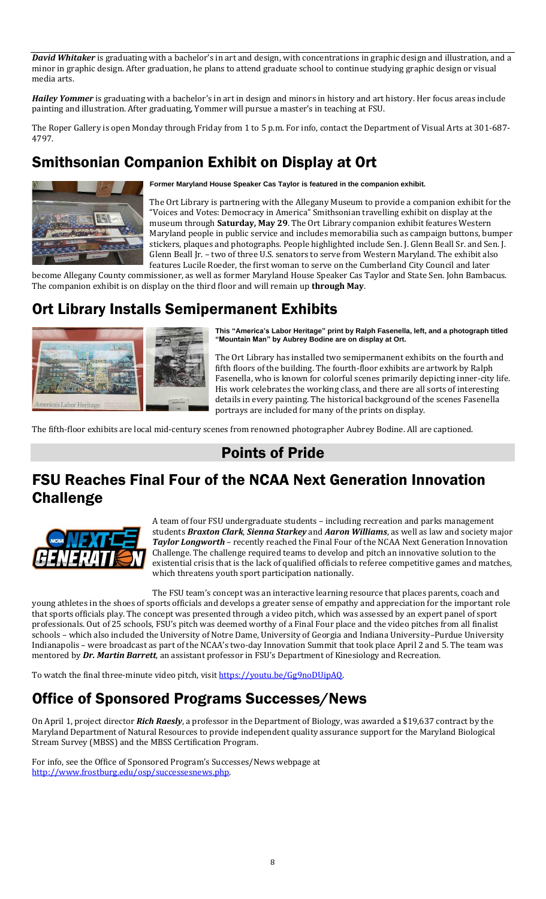*David Whitaker* is graduating with a bachelor's in art and design, with concentrations in graphic design and illustration, and a minor in graphic design. After graduation, he plans to attend graduate school to continue studying graphic design or visual media arts.

*Hailey Yommer* is graduating with a bachelor's in art in design and minors in history and art history. Her focus areas include painting and illustration. After graduating, Yommer will pursue a master's in teaching at FSU.

The Roper Gallery is open Monday through Friday from 1 to 5 p.m. For info, contact the Department of Visual Arts at 301-687- 4797.

# Smithsonian Companion Exhibit on Display at Ort



**Former Maryland House Speaker Cas Taylor is featured in the companion exhibit.**

The Ort Library is partnering with the Allegany Museum to provide a companion exhibit for the "Voices and Votes: Democracy in America" Smithsonian travelling exhibit on display at the museum through **Saturday, May 29**. The Ort Library companion exhibit features Western Maryland people in public service and includes memorabilia such as campaign buttons, bumper stickers, plaques and photographs. People highlighted include Sen. J. Glenn Beall Sr. and Sen. J. Glenn Beall Jr. – two of three U.S. senators to serve from Western Maryland. The exhibit also features Lucile Roeder, the first woman to serve on the Cumberland City Council and later

become Allegany County commissioner, as well as former Maryland House Speaker Cas Taylor and State Sen. John Bambacus. The companion exhibit is on display on the third floor and will remain up **through May**.

# Ort Library Installs Semipermanent Exhibits



**This "America's Labor Heritage" print by Ralph Fasenella, left, and a photograph titled "Mountain Man" by Aubrey Bodine are on display at Ort.**

The Ort Library has installed two semipermanent exhibits on the fourth and fifth floors of the building. The fourth-floor exhibits are artwork by Ralph Fasenella, who is known for colorful scenes primarily depicting inner-city life. His work celebrates the working class, and there are all sorts of interesting details in every painting. The historical background of the scenes Fasenella portrays are included for many of the prints on display.

The fifth-floor exhibits are local mid-century scenes from renowned photographer Aubrey Bodine. All are captioned.

## Points of Pride

# FSU Reaches Final Four of the NCAA Next Generation Innovation Challenge



A team of four FSU undergraduate students – including recreation and parks management students *Braxton Clark*, *Sienna Starkey* and *Aaron Williams*, as well as law and society major *Taylor Longworth* – recently reached the Final Four of the NCAA Next Generation Innovation Challenge. The challenge required teams to develop and pitch an innovative solution to the existential crisis that is the lack of qualified officials to referee competitive games and matches, which threatens youth sport participation nationally.

The FSU team's concept was an interactive learning resource that places parents, coach and young athletes in the shoes of sports officials and develops a greater sense of empathy and appreciation for the important role that sports officials play. The concept was presented through a video pitch, which was assessed by an expert panel of sport professionals. Out of 25 schools, FSU's pitch was deemed worthy of a Final Four place and the video pitches from all finalist schools – which also included the University of Notre Dame, University of Georgia and Indiana University–Purdue University Indianapolis – were broadcast as part of the NCAA's two-day Innovation Summit that took place April 2 and 5. The team was mentored by *Dr. Martin Barrett*, an assistant professor in FSU's Department of Kinesiology and Recreation.

To watch the final three-minute video pitch, visi[t https://youtu.be/Gg9noDUipAQ.](https://youtu.be/Gg9noDUipAQ)

# Office of Sponsored Programs Successes/News

On April 1, project director *Rich Raesly*, a professor in the Department of Biology, was awarded a \$19,637 contract by the Maryland Department of Natural Resources to provide independent quality assurance support for the Maryland Biological Stream Survey (MBSS) and the MBSS Certification Program.

For info, see the Office of Sponsored Program's Successes/News webpage at [http://www.frostburg.edu/osp/successesnews.php.](http://www.frostburg.edu/osp/successesnews.php)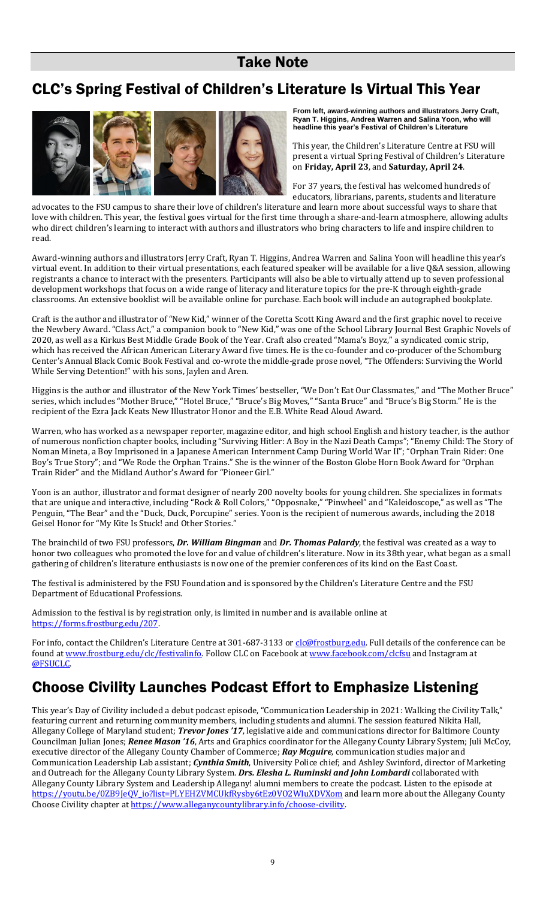### Take Note

# CLC's Spring Festival of Children's Literature Is Virtual This Year



**From left, award-winning authors and illustrators Jerry Craft, Ryan T. Higgins, Andrea Warren and Salina Yoon, who will headline this year's Festival of Children's Literature**

This year, the Children's Literature Centre at FSU will present a virtual Spring Festival of Children's Literature on **Friday, April 23**, and **Saturday, April 24**.

For 37 years, the festival has welcomed hundreds of educators, librarians, parents, students and literature

advocates to the FSU campus to share their love of children's literature and learn more about successful ways to share that love with children. This year, the festival goes virtual for the first time through a share-and-learn atmosphere, allowing adults who direct children's learning to interact with authors and illustrators who bring characters to life and inspire children to read.

Award-winning authors and illustrators Jerry Craft, Ryan T. Higgins, Andrea Warren and Salina Yoon will headline this year's virtual event. In addition to their virtual presentations, each featured speaker will be available for a live Q&A session, allowing registrants a chance to interact with the presenters. Participants will also be able to virtually attend up to seven professional development workshops that focus on a wide range of literacy and literature topics for the pre-K through eighth-grade classrooms. An extensive booklist will be available online for purchase. Each book will include an autographed bookplate.

Craft is the author and illustrator of "New Kid," winner of the Coretta Scott King Award and the first graphic novel to receive the Newbery Award. "Class Act," a companion book to "New Kid," was one of the School Library Journal Best Graphic Novels of 2020, as well as a Kirkus Best Middle Grade Book of the Year. Craft also created "Mama's Boyz," a syndicated comic strip, which has received the African American Literary Award five times. He is the co-founder and co-producer of the Schomburg Center's Annual Black Comic Book Festival and co-wrote the middle-grade prose novel, "The Offenders: Surviving the World While Serving Detention!" with his sons, Jaylen and Aren.

Higgins is the author and illustrator of the New York Times' bestseller, "We Don't Eat Our Classmates," and "The Mother Bruce" series, which includes "Mother Bruce," "Hotel Bruce," "Bruce's Big Moves," "Santa Bruce" and "Bruce's Big Storm." He is the recipient of the Ezra Jack Keats New Illustrator Honor and the E.B. White Read Aloud Award.

Warren, who has worked as a newspaper reporter, magazine editor, and high school English and history teacher, is the author of numerous nonfiction chapter books, including "Surviving Hitler: A Boy in the Nazi Death Camps"; "Enemy Child: The Story of Noman Mineta, a Boy Imprisoned in a Japanese American Internment Camp During World War II"; "Orphan Train Rider: One Boy's True Story"; and "We Rode the Orphan Trains." She is the winner of the Boston Globe Horn Book Award for "Orphan Train Rider" and the Midland Author's Award for "Pioneer Girl."

Yoon is an author, illustrator and format designer of nearly 200 novelty books for young children. She specializes in formats that are unique and interactive, including "Rock & Roll Colors," "Opposnake," "Pinwheel" and "Kaleidoscope," as well as "The Penguin, "The Bear" and the "Duck, Duck, Porcupine" series. Yoon is the recipient of numerous awards, including the 2018 Geisel Honor for "My Kite Is Stuck! and Other Stories."

The brainchild of two FSU professors, *Dr. William Bingman* and *Dr. Thomas Palardy*, the festival was created as a way to honor two colleagues who promoted the love for and value of children's literature. Now in its 38th year, what began as a small gathering of children's literature enthusiasts is now one of the premier conferences of its kind on the East Coast.

The festival is administered by the FSU Foundation and is sponsored by the Children's Literature Centre and the FSU Department of Educational Professions.

Admission to the festival is by registration only, is limited in number and is available online at [https://forms.frostburg.edu/207.](https://forms.frostburg.edu/207) 

For info, contact the Children's Literature Centre at 301-687-3133 o[r clc@frostburg.edu.](mailto:clc@frostburg.edu) Full details of the conference can be found a[t www.frostburg.edu/clc/festivalinfo.](http://www.frostburg.edu/clc/festivalinfo) Follow CLC on Facebook a[t www.facebook.com/clcfsu](http://www.facebook.com/clcfsu) and Instagram at [@FSUCLC.](https://www.instagram.com/fsuclc/?hl=en) 

# Choose Civility Launches Podcast Effort to Emphasize Listening

This year's Day of Civility included a debut podcast episode, "Communication Leadership in 2021: Walking the Civility Talk," featuring current and returning community members, including students and alumni. The session featured Nikita Hall, Allegany College of Maryland student; *Trevor Jones '17*, legislative aide and communications director for Baltimore County Councilman Julian Jones; *Renee Mason '16*, Arts and Graphics coordinator for the Allegany County Library System; Juli McCoy, executive director of the Allegany County Chamber of Commerce; *Ray Mcguire*, communication studies major and Communication Leadership Lab assistant; *Cynthia Smith*, University Police chief; and Ashley Swinford, director of Marketing and Outreach for the Allegany County Library System. *Drs. Elesha L. Ruminski and John Lombardi* collaborated with Allegany County Library System and Leadership Allegany! alumni members to create the podcast. Listen to the episode at https://youtu.be/0ZB9JeOV\_io?list=PLYEHZVMCUkfRysby6tEz0VO2WIuXDVXom and learn more about the Allegany County Choose Civility chapter at [https://www.alleganycountylibrary.info/choose-civility.](https://www.alleganycountylibrary.info/choose-civility)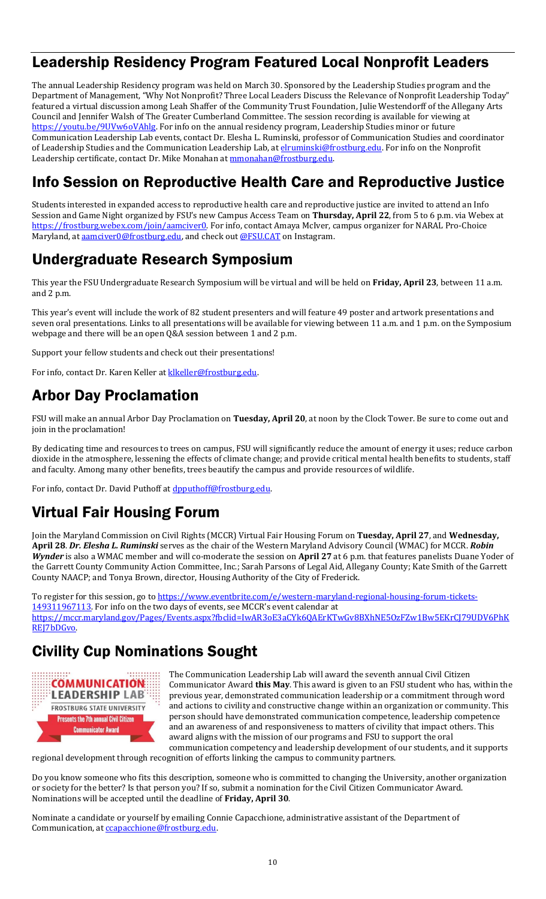# Leadership Residency Program Featured Local Nonprofit Leaders

The annual Leadership Residency program was held on March 30. Sponsored by the Leadership Studies program and the Department of Management, "Why Not Nonprofit? Three Local Leaders Discuss the Relevance of Nonprofit Leadership Today" featured a virtual discussion among Leah Shaffer of the Community Trust Foundation, Julie Westendorff of the Allegany Arts Council and Jennifer Walsh of The Greater Cumberland Committee. The session recording is available for viewing at [https://youtu.be/9UVw6oVAhlg.](https://youtu.be/9UVw6oVAhlg) For info on the annual residency program, Leadership Studies minor or future Communication Leadership Lab events, contact Dr. Elesha L. Ruminski, professor of Communication Studies and coordinator of Leadership Studies and the Communication Leadership Lab, at *elruminski@frostburg.edu*. For info on the Nonprofit Leadership certificate, contact Dr. Mike Monahan a[t mmonahan@frostburg.edu.](mailto:mmonahan@frostburg.edu)

# Info Session on Reproductive Health Care and Reproductive Justice

Students interested in expanded access to reproductive health care and reproductive justice are invited to attend an Info Session and Game Night organized by FSU's new Campus Access Team on **Thursday, April 22**, from 5 to 6 p.m. via Webex at https://frostburg.webex.com/join/aamciver0</u>. For info, contact Amaya McIver, campus organizer for NARAL Pro-Choice Maryland, a[t aamciver0@frostburg.edu,](mailto:aamciver0@frostburg.edu) and check out [@FSU.CAT](https://www.instagram.com/fsu.cat) on Instagram.

### Undergraduate Research Symposium

This year the FSU Undergraduate Research Symposium will be virtual and will be held on **Friday, April 23**, between 11 a.m. and 2 p.m.

This year's event will include the work of 82 student presenters and will feature 49 poster and artwork presentations and seven oral presentations. Links to all presentations will be available for viewing between 11 a.m. and 1 p.m. on the Symposium webpage and there will be an open Q&A session between 1 and 2 p.m.

Support your fellow students and check out their presentations!

For info, contact Dr. Karen Keller at klkeller@frostburg.edu.

# Arbor Day Proclamation

FSU will make an annual Arbor Day Proclamation on **Tuesday, April 20**, at noon by the Clock Tower. Be sure to come out and join in the proclamation!

By dedicating time and resources to trees on campus, FSU will significantly reduce the amount of energy it uses; reduce carbon dioxide in the atmosphere, lessening the effects of climate change; and provide critical mental health benefits to students, staff and faculty. Among many other benefits, trees beautify the campus and provide resources of wildlife.

For info, contact Dr. David Puthoff at dpputhoff@frostburg.edu.

# Virtual Fair Housing Forum

Join the Maryland Commission on Civil Rights (MCCR) Virtual Fair Housing Forum on **Tuesday, April 27**, and **Wednesday, April 28**. *Dr. Elesha L. Ruminski* serves as the chair of the Western Maryland Advisory Council (WMAC) for MCCR. *Robin Wynder* is also a WMAC member and will co-moderate the session on **April 27** at 6 p.m. that features panelists Duane Yoder of the Garrett County Community Action Committee, Inc.; Sarah Parsons of Legal Aid, Allegany County; Kate Smith of the Garrett County NAACP; and Tonya Brown, director, Housing Authority of the City of Frederick.

To register for this session, go to [https://www.eventbrite.com/e/western-maryland-regional-housing-forum-tickets-](https://www.eventbrite.com/e/western-maryland-regional-housing-forum-tickets-149311967113)[149311967113](https://www.eventbrite.com/e/western-maryland-regional-housing-forum-tickets-149311967113). For info on the two days of events, see MCCR's event calendar at [https://mccr.maryland.gov/Pages/Events.aspx?fbclid=IwAR3oE3aCYk6QAErKTwGv8BXhNE5OzFZw1Bw5EKrCJ79UDV6PhK](https://mccr.maryland.gov/Pages/Events.aspx?fbclid=IwAR3oE3aCYk6QAErKTwGv8BXhNE5OzFZw1Bw5EKrCJ79UDV6PhKREJ7bDGvo) REI7bDGvo.

# Civility Cup Nominations Sought



The Communication Leadership Lab will award the seventh annual Civil Citizen Communicator Award **this May**. This award is given to an FSU student who has, within the previous year, demonstrated communication leadership or a commitment through word and actions to civility and constructive change within an organization or community. This person should have demonstrated communication competence, leadership competence and an awareness of and responsiveness to matters of civility that impact others. This award aligns with the mission of our programs and FSU to support the oral communication competency and leadership development of our students, and it supports

regional development through recognition of efforts linking the campus to community partners.

Do you know someone who fits this description, someone who is committed to changing the University, another organization or society for the better? Is that person you? If so, submit a nomination for the Civil Citizen Communicator Award. Nominations will be accepted until the deadline of **Friday, April 30**.

Nominate a candidate or yourself by emailing Connie Capacchione, administrative assistant of the Department of Communication, at **ccapacchione@frostburg.edu**.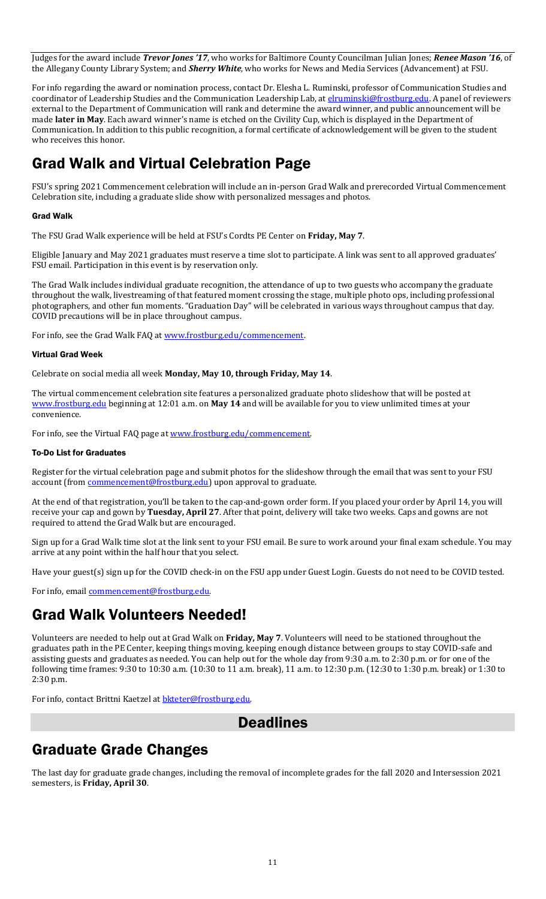Judges for the award include *Trevor Jones '17*, who works for Baltimore County Councilman Julian Jones; *Renee Mason '16*, of the Allegany County Library System; and *Sherry White*, who works for News and Media Services (Advancement) at FSU.

For info regarding the award or nomination process, contact Dr. Elesha L. Ruminski, professor of Communication Studies and coordinator of Leadership Studies and the Communication Leadership Lab, at *elruminski@frostburg.edu*. A panel of reviewers external to the Department of Communication will rank and determine the award winner, and public announcement will be made **later in May**. Each award winner's name is etched on the Civility Cup, which is displayed in the Department of Communication. In addition to this public recognition, a formal certificate of acknowledgement will be given to the student who receives this honor.

# Grad Walk and Virtual Celebration Page

FSU's spring 2021 Commencement celebration will include an in-person Grad Walk and prerecorded Virtual Commencement Celebration site, including a graduate slide show with personalized messages and photos.

#### Grad Walk

The FSU Grad Walk experience will be held at FSU's Cordts PE Center on **Friday, May 7**.

Eligible January and May 2021 graduates must reserve a time slot to participate. A link was sent to all approved graduates' FSU email. Participation in this event is by reservation only.

The Grad Walk includes individual graduate recognition, the attendance of up to two guests who accompany the graduate throughout the walk, livestreaming of that featured moment crossing the stage, multiple photo ops, including professional photographers, and other fun moments. "Graduation Day" will be celebrated in various ways throughout campus that day. COVID precautions will be in place throughout campus.

For info, see the Grad Walk FAQ at www.frostburg.edu/commencement.

#### Virtual Grad Week

Celebrate on social media all week **Monday, May 10, through Friday, May 14**.

The virtual commencement celebration site features a personalized graduate photo slideshow that will be posted at [www.frostburg.edu](http://www.frostburg.edu/) beginning at 12:01 a.m. on **May 14** and will be available for you to view unlimited times at your convenience.

For info, see the Virtual FAQ page at www.frostburg.edu/commencement.

#### To-Do List for Graduates

Register for the virtual celebration page and submit photos for the slideshow through the email that was sent to your FSU account (from **commencement@frostburg.edu**) upon approval to graduate.

At the end of that registration, you'll be taken to the cap-and-gown order form. If you placed your order by April 14, you will receive your cap and gown by **Tuesday, April 27**. After that point, delivery will take two weeks. Caps and gowns are not required to attend the Grad Walk but are encouraged.

Sign up for a Grad Walk time slot at the link sent to your FSU email. Be sure to work around your final exam schedule. You may arrive at any point within the half hour that you select.

Have your guest(s) sign up for the COVID check-in on the FSU app under Guest Login. Guests do not need to be COVID tested.

For info, emai[l commencement@frostburg.edu.](mailto:commencement@frostburg.edu)

#### Grad Walk Volunteers Needed!

Volunteers are needed to help out at Grad Walk on **Friday, May 7**. Volunteers will need to be stationed throughout the graduates path in the PE Center, keeping things moving, keeping enough distance between groups to stay COVID-safe and assisting guests and graduates as needed. You can help out for the whole day from 9:30 a.m. to 2:30 p.m. or for one of the following time frames: 9:30 to 10:30 a.m. (10:30 to 11 a.m. break), 11 a.m. to 12:30 p.m. (12:30 to 1:30 p.m. break) or 1:30 to 2:30 p.m.

For info, contact Brittni Kaetzel at [bkteter@frostburg.edu.](mailto:bkteter@frostburg.edu)

#### **Deadlines**

#### Graduate Grade Changes

The last day for graduate grade changes, including the removal of incomplete grades for the fall 2020 and Intersession 2021 semesters, is **Friday, April 30**.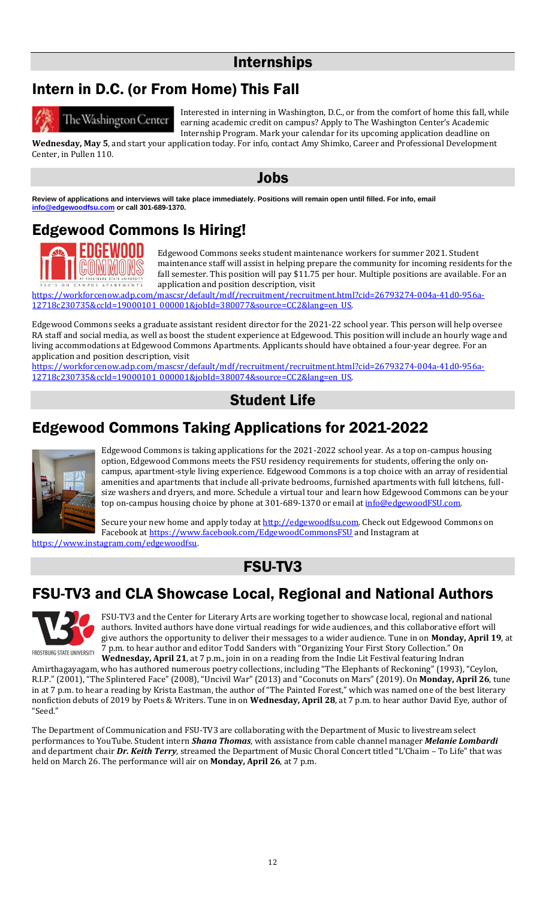#### Internships

# Intern in D.C. (or From Home) This Fall



The Washington Center

Interested in interning in Washington, D.C., or from the comfort of home this fall, while earning academic credit on campus? Apply to The Washington Center's Academic Internship Program. Mark your calendar for its upcoming application deadline on

**Wednesday, May 5**, and start your application today. For info, contact Amy Shimko, Career and Professional Development Center, in Pullen 110.

Jobs

**Review of applications and interviews will take place immediately. Positions will remain open until filled. For info, email [info@edgewoodfsu.com](mailto:info@edgewoodfsu.com) or call 301-689-1370.**

# Edgewood Commons Is Hiring!



Edgewood Commons seeks student maintenance workers for summer 2021. Student maintenance staff will assist in helping prepare the community for incoming residents for the fall semester. This position will pay \$11.75 per hour. Multiple positions are available. For an application and position description, visit

[https://workforcenow.adp.com/mascsr/default/mdf/recruitment/recruitment.html?cid=26793274-004a-41d0-956a-](https://workforcenow.adp.com/mascsr/default/mdf/recruitment/recruitment.html?cid=26793274-004a-41d0-956a-12718c230735&ccId=19000101_000001&jobId=380077&source=CC2&lang=en_US)[12718c230735&ccId=19000101\\_000001&jobId=380077&source=CC2&lang=en\\_US.](https://workforcenow.adp.com/mascsr/default/mdf/recruitment/recruitment.html?cid=26793274-004a-41d0-956a-12718c230735&ccId=19000101_000001&jobId=380077&source=CC2&lang=en_US) 

Edgewood Commons seeks a graduate assistant resident director for the 2021-22 school year. This person will help oversee RA staff and social media, as well as boost the student experience at Edgewood. This position will include an hourly wage and living accommodations at Edgewood Commons Apartments. Applicants should have obtained a four-year degree. For an application and position description, visit

[https://workforcenow.adp.com/mascsr/default/mdf/recruitment/recruitment.html?cid=26793274-004a-41d0-956a-](https://workforcenow.adp.com/mascsr/default/mdf/recruitment/recruitment.html?cid=26793274-004a-41d0-956a-12718c230735&ccId=19000101_000001&jobId=380074&source=CC2&lang=en_US)[12718c230735&ccId=19000101\\_000001&jobId=380074&source=CC2&lang=en\\_US.](https://workforcenow.adp.com/mascsr/default/mdf/recruitment/recruitment.html?cid=26793274-004a-41d0-956a-12718c230735&ccId=19000101_000001&jobId=380074&source=CC2&lang=en_US) 

## Student Life

## Edgewood Commons Taking Applications for 2021-2022



Edgewood Commons is taking applications for the 2021-2022 school year. As a top on-campus housing option, Edgewood Commons meets the FSU residency requirements for students, offering the only oncampus, apartment-style living experience. Edgewood Commons is a top choice with an array of residential amenities and apartments that include all-private bedrooms, furnished apartments with full kitchens, fullsize washers and dryers, and more. Schedule a virtual tour and learn how Edgewood Commons can be your top on-campus housing choice by phone at 301-689-1370 or email at [info@edgewoodFSU.com.](mailto:info@edgewoodFSU.com)

Secure your new home and apply today at [http://edgewoodfsu.com.](http://edgewoodfsu.com/) Check out Edgewood Commons on Facebook a[t https://www.facebook.com/EdgewoodCommonsFSU](https://www.facebook.com/EdgewoodCommonsFSU) and Instagram at [https://www.instagram.com/edgewoodfsu.](https://www.instagram.com/edgewoodfsu)

FSU-TV3

# FSU-TV3 and CLA Showcase Local, Regional and National Authors



FSU-TV3 and the Center for Literary Arts are working together to showcase local, regional and national authors. Invited authors have done virtual readings for wide audiences, and this collaborative effort will give authors the opportunity to deliver their messages to a wider audience. Tune in on **Monday, April 19**, at 7 p.m. to hear author and editor Todd Sanders with "Organizing Your First Story Collection." On **Wednesday, April 21**, at 7 p.m., join in on a reading from the Indie Lit Festival featuring Indran

Amirthagayagam, who has authored numerous poetry collections, including "The Elephants of Reckoning" (1993), "Ceylon, R.I.P." (2001), "The Splintered Face" (2008), "Uncivil War" (2013) and "Coconuts on Mars" (2019). On **Monday, April 26**, tune in at 7 p.m. to hear a reading by Krista Eastman, the author of "The Painted Forest," which was named one of the best literary nonfiction debuts of 2019 by Poets & Writers. Tune in on **Wednesday, April 28**, at 7 p.m. to hear author David Eye, author of "Seed."

The Department of Communication and FSU-TV3 are collaborating with the Department of Music to livestream select performances to YouTube. Student intern *Shana Thomas*, with assistance from cable channel manager *Melanie Lombardi* and department chair *Dr. Keith Terry*, streamed the Department of Music Choral Concert titled "L'Chaim – To Life" that was held on March 26. The performance will air on **Monday, April 26**, at 7 p.m.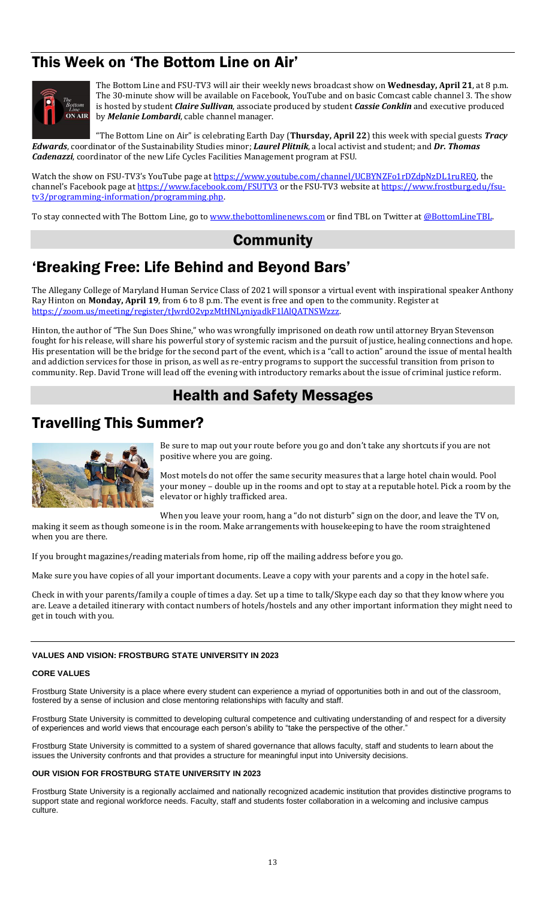# This Week on 'The Bottom Line on Air'



The Bottom Line and FSU-TV3 will air their weekly news broadcast show on **Wednesday, April 21**, at 8 p.m. The 30-minute show will be available on Facebook, YouTube and on basic Comcast cable channel 3. The show is hosted by student *Claire Sullivan*, associate produced by student *Cassie Conklin* and executive produced by *Melanie Lombardi*, cable channel manager.

"The Bottom Line on Air" is celebrating Earth Day (**Thursday, April 22**) this week with special guests *Tracy Edwards*, coordinator of the Sustainability Studies minor; *Laurel Plitnik*, a local activist and student; and *Dr. Thomas Cadenazzi*, coordinator of the new Life Cycles Facilities Management program at FSU.

Watch the show on FSU-TV3's YouTube page a[t https://www.youtube.com/channel/UCBYNZFo1rDZdpNzDL1ruREQ,](https://www.youtube.com/channel/UCBYNZFo1rDZdpNzDL1ruREQ) the channel's Facebook page at <https://www.facebook.com/FSUTV3> or the FSU-TV3 website a[t https://www.frostburg.edu/fsu](https://www.frostburg.edu/fsu-tv3/programming-information/programming.php)[tv3/programming-information/programming.php.](https://www.frostburg.edu/fsu-tv3/programming-information/programming.php)

To stay connected with The Bottom Line, go to [www.thebottomlinenews.com](http://www.thebottomlinenews.com/) or find TBL on Twitter at [@BottomLineTBL.](https://twitter.com/bottomlinetbl?lang=en)

#### **Community**

# 'Breaking Free: Life Behind and Beyond Bars'

The Allegany College of Maryland Human Service Class of 2021 will sponsor a virtual event with inspirational speaker Anthony Ray Hinton on **Monday, April 19**, from 6 to 8 p.m. The event is free and open to the community. Register at [https://zoom.us/meeting/register/tJwrdO2vpzMtHNLyniyadkF1lAlQATNSWzzz.](https://zoom.us/meeting/register/tJwrdO2vpzMtHNLyniyadkF1lAlQATNSWzzz) 

Hinton, the author of "The Sun Does Shine," who was wrongfully imprisoned on death row until attorney Bryan Stevenson fought for his release, will share his powerful story of systemic racism and the pursuit of justice, healing connections and hope. His presentation will be the bridge for the second part of the event, which is a "call to action" around the issue of mental health and addiction services for those in prison, as well as re-entry programs to support the successful transition from prison to community. Rep. David Trone will lead off the evening with introductory remarks about the issue of criminal justice reform.

#### Health and Safety Messages

#### Travelling This Summer?



Be sure to map out your route before you go and don't take any shortcuts if you are not positive where you are going.

Most motels do not offer the same security measures that a large hotel chain would. Pool your money – double up in the rooms and opt to stay at a reputable hotel. Pick a room by the elevator or highly trafficked area.

When you leave your room, hang a "do not disturb" sign on the door, and leave the TV on, making it seem as though someone is in the room. Make arrangements with housekeeping to have the room straightened

when you are there.

If you brought magazines/reading materials from home, rip off the mailing address before you go.

Make sure you have copies of all your important documents. Leave a copy with your parents and a copy in the hotel safe.

Check in with your parents/family a couple of times a day. Set up a time to talk/Skype each day so that they know where you are. Leave a detailed itinerary with contact numbers of hotels/hostels and any other important information they might need to get in touch with you.

#### **VALUES AND VISION: FROSTBURG STATE UNIVERSITY IN 2023**

#### **CORE VALUES**

Frostburg State University is a place where every student can experience a myriad of opportunities both in and out of the classroom, fostered by a sense of inclusion and close mentoring relationships with faculty and staff.

Frostburg State University is committed to developing cultural competence and cultivating understanding of and respect for a diversity of experiences and world views that encourage each person's ability to "take the perspective of the other."

Frostburg State University is committed to a system of shared governance that allows faculty, staff and students to learn about the issues the University confronts and that provides a structure for meaningful input into University decisions.

#### **OUR VISION FOR FROSTBURG STATE UNIVERSITY IN 2023**

Frostburg State University is a regionally acclaimed and nationally recognized academic institution that provides distinctive programs to support state and regional workforce needs. Faculty, staff and students foster collaboration in a welcoming and inclusive campus culture.